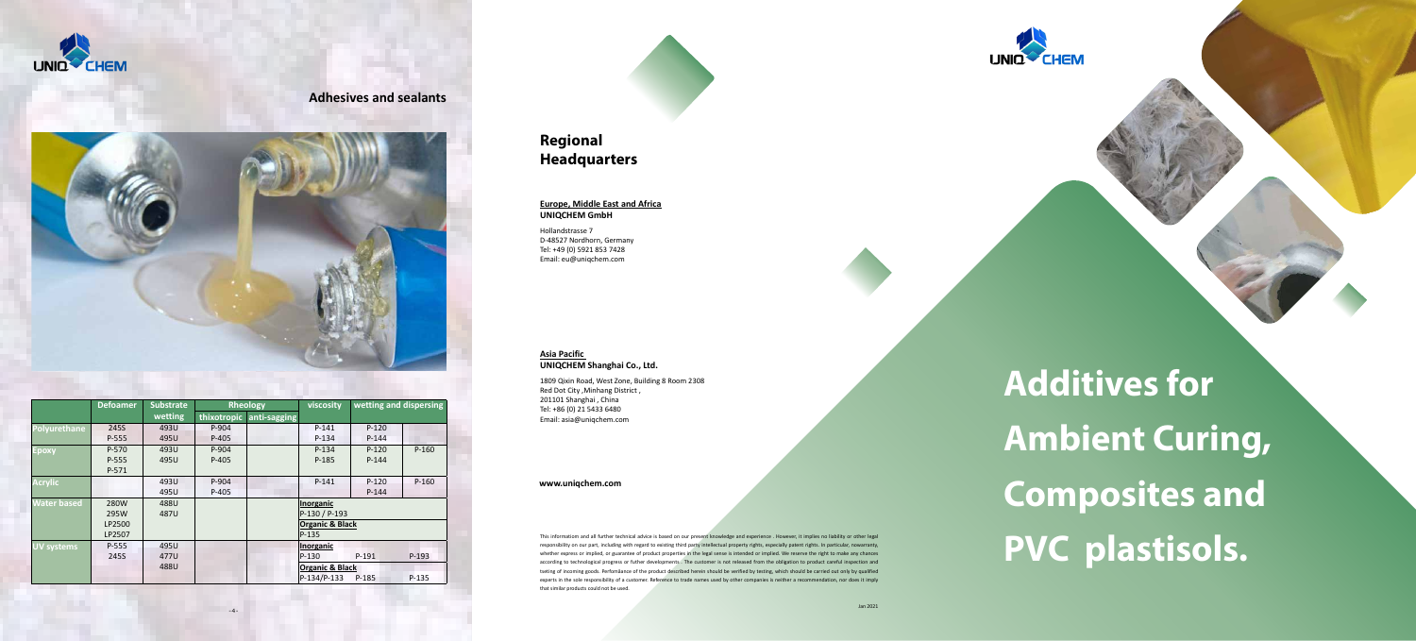

**Additives for Ambient Curing, Composites and PVC plastisols.**

## **Regional Headquarters**

### **Europe, Middle East and Africa UNIQCHEM GmbH**

Hollandstrasse 7 D-48527 Nordhorn, Germany Tel: +49 (0) 5921 853 7428 Email: eu@uniqchem.com

### **Asia Pacific UNIQCHEM Shanghai Co., Ltd.**

1809 Qixin Road, West Zone, Building 8 Room 2308 Red Dot City ,Minhang District , 201101 Shanghai , China Tel: +86 (0) 21 5433 6480 Email: asia@uniqchem.com

This informatiom and all further technical advice is based on our present knowledge and experience . However, it implies no liability or other legal responsibility on our part, including with regard to existing third party intellectual property rights, especially patent rights. In particular, nowarranty, whether express or implied, or guarantee of product properties in the legal sense is intended or implied. We reserve the right to make any chances according to technological progress or futher developments . The customer is not released from the obligation to product careful inspection and tseting of incoming goods. Perfomåance of the product described herein should be verified by testing, which should be carried out only by qualified experts in the sole responsibility of a customer. Reference to trade names used by other companies is neither a recommendation, nor does it imply that similar products could not be used.



## **Adhesives and sealants**



|                    | <b>Defoamer</b> | <b>Substrate</b> |             | <b>Rheology</b> | viscosity                  | wetting and dispersing |         |  |  |  |
|--------------------|-----------------|------------------|-------------|-----------------|----------------------------|------------------------|---------|--|--|--|
|                    |                 | wetting          | thixotropic | anti-sagging    |                            |                        |         |  |  |  |
| Polyurethane       | 245S            |                  | P-904       |                 | $P-141$                    | $P-120$                |         |  |  |  |
|                    | P-555           | 495U             | P-405       |                 | $P-134$                    | $P-144$                |         |  |  |  |
| <b>Epoxy</b>       | P-570           | 493U             | P-904       |                 | $P-134$                    | $P-120$                | $P-160$ |  |  |  |
|                    | P-555           | 495U             | P-405       |                 | P-185                      | $P-144$                |         |  |  |  |
|                    | P-571           |                  |             |                 |                            |                        |         |  |  |  |
| <b>Acrylic</b>     |                 | 493U             | P-904       |                 | $P-141$                    | $P-120$                | $P-160$ |  |  |  |
|                    |                 | 495U             | P-405       |                 |                            | $P-144$                |         |  |  |  |
| <b>Water based</b> | 280W            | 488U             |             |                 | Inorganic                  |                        |         |  |  |  |
|                    | 295W            | 487U             |             |                 | P-130 / P-193              |                        |         |  |  |  |
|                    | LP2500          |                  |             |                 | <b>Organic &amp; Black</b> |                        |         |  |  |  |
|                    | LP2507          |                  |             |                 | P-135                      |                        |         |  |  |  |
| UV systems         | P-555           | 495U             |             |                 | <u>Inorganic</u>           |                        |         |  |  |  |
|                    | 245S            | 477U             |             |                 | P-130                      | $P-191$                | $P-193$ |  |  |  |
|                    |                 | 488U             |             |                 | <b>Organic &amp; Black</b> |                        |         |  |  |  |
|                    |                 |                  |             |                 | P-134/P-133                | P-185                  | P-135   |  |  |  |

### **www.uniqchem.com**